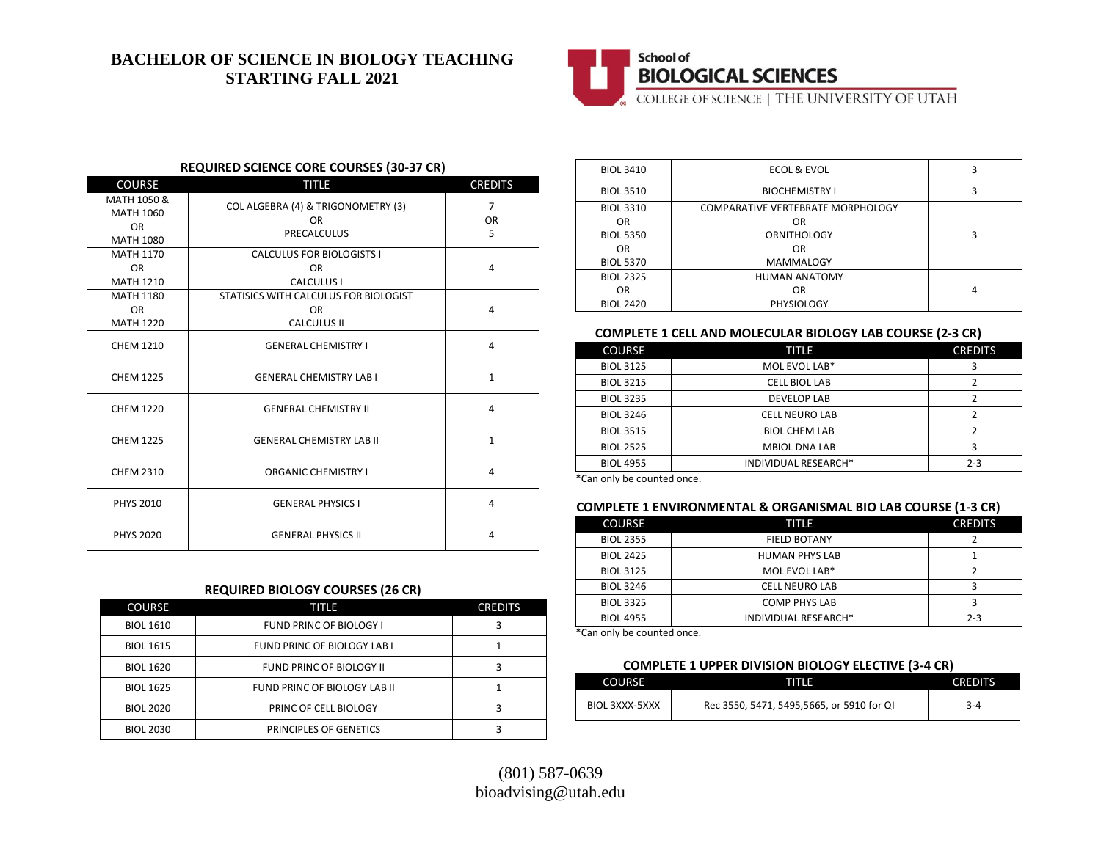# **BACHELOR OF SCIENCE IN BIOLOGY TEACHING STARTING FALL 2021**



# **BIOLOGICAL SCIENCES**

COLLEGE OF SCIENCE | THE UNIVERSITY OF UTAH

#### **REQUIRED SCIENCE CORE COURSES (30-37 CR)**

| <b>COURSE</b>                                             | <b>TITLE</b>                                                             | <b>CREDITS</b>                   |
|-----------------------------------------------------------|--------------------------------------------------------------------------|----------------------------------|
| MATH 1050 &<br>MATH 1060<br><b>OR</b><br><b>MATH 1080</b> | COL ALGEBRA (4) & TRIGONOMETRY (3)<br><b>OR</b><br><b>PRECALCULUS</b>    | $\overline{7}$<br><b>OR</b><br>5 |
| <b>MATH 1170</b><br><b>OR</b><br><b>MATH 1210</b>         | <b>CALCULUS FOR BIOLOGISTS I</b><br>OR.<br>CALCULUS I                    | 4                                |
| <b>MATH 1180</b><br><b>OR</b><br><b>MATH 1220</b>         | STATISICS WITH CALCULUS FOR BIOLOGIST<br><b>OR</b><br><b>CALCULUS II</b> | 4                                |
| <b>CHEM 1210</b>                                          | <b>GENERAL CHEMISTRY I</b>                                               | 4                                |
| <b>CHEM 1225</b>                                          | <b>GENERAL CHEMISTRY LAB I</b>                                           | $\mathbf{1}$                     |
| <b>CHEM 1220</b>                                          | <b>GENERAL CHEMISTRY II</b>                                              | 4                                |
| <b>CHEM 1225</b>                                          | <b>GENERAL CHEMISTRY LAB II</b>                                          | $\mathbf{1}$                     |
| <b>CHEM 2310</b>                                          | <b>ORGANIC CHEMISTRY I</b>                                               | 4                                |
| <b>PHYS 2010</b>                                          | <b>GENERAL PHYSICS I</b>                                                 | 4                                |
| <b>PHYS 2020</b>                                          | <b>GENERAL PHYSICS II</b>                                                | 4                                |

### **REQUIRED BIOLOGY COURSES (26 CR)**

| <b>COURSE</b>    | TITLE                          | <b>CREDITS</b> |
|------------------|--------------------------------|----------------|
| <b>BIOL 1610</b> | <b>FUND PRINC OF BIOLOGY I</b> |                |
| <b>BIOL 1615</b> | FUND PRINC OF BIOLOGY LAB I    |                |
| <b>BIOL 1620</b> | FUND PRINC OF BIOLOGY II       |                |
| <b>BIOL 1625</b> | FUND PRINC OF BIOLOGY LAB II   |                |
| <b>BIOL 2020</b> | PRINC OF CELL BIOLOGY          |                |
| <b>BIOL 2030</b> | <b>PRINCIPLES OF GENETICS</b>  |                |

| <b>BIOL 3410</b> | ECOL & EVOL                              | 3 |
|------------------|------------------------------------------|---|
| <b>BIOL 3510</b> | <b>BIOCHEMISTRY I</b>                    | 3 |
| <b>BIOL 3310</b> | <b>COMPARATIVE VERTEBRATE MORPHOLOGY</b> |   |
| 0 <sub>R</sub>   | OR                                       |   |
| <b>BIOL 5350</b> | <b>ORNITHOLOGY</b>                       | 3 |
| 0 <sub>R</sub>   | OR                                       |   |
| <b>BIOL 5370</b> | <b>MAMMALOGY</b>                         |   |
| <b>BIOL 2325</b> | <b>HUMAN ANATOMY</b>                     |   |
| 0R               | OR                                       | 4 |
| <b>BIOL 2420</b> | <b>PHYSIOLOGY</b>                        |   |

#### **COMPLETE 1 CELL AND MOLECULAR BIOLOGY LAB COURSE (2-3 CR)**

| <b>COURSE</b>    | TITLE                 | <b>CREDITS</b> |
|------------------|-----------------------|----------------|
| <b>BIOL 3125</b> | MOL EVOL LAB*         |                |
| <b>BIOL 3215</b> | <b>CELL BIOL LAB</b>  |                |
| <b>BIOL 3235</b> | <b>DEVELOP LAB</b>    |                |
| <b>BIOL 3246</b> | <b>CELL NEURO LAB</b> | 2              |
| <b>BIOL 3515</b> | <b>BIOL CHEM LAB</b>  |                |
| <b>BIOL 2525</b> | <b>MBIOL DNA LAB</b>  | З              |
| <b>BIOL 4955</b> | INDIVIDUAL RESEARCH*  | $2 - 3$        |

\*Can only be counted once.

### **COMPLETE 1 ENVIRONMENTAL & ORGANISMAL BIO LAB COURSE (1-3 CR)**

| <b>COURSE</b>    | TITLE                 | <b>CREDITS</b> |
|------------------|-----------------------|----------------|
| <b>BIOL 2355</b> | <b>FIELD BOTANY</b>   |                |
| <b>BIOL 2425</b> | <b>HUMAN PHYS LAB</b> |                |
| <b>BIOL 3125</b> | MOL EVOL LAB*         |                |
| <b>BIOL 3246</b> | <b>CELL NEURO LAB</b> |                |
| <b>BIOL 3325</b> | <b>COMP PHYS LAB</b>  |                |
| <b>BIOL 4955</b> | INDIVIDUAL RESEARCH*  | $2 - 3$        |

\*Can only be counted once.

## **COMPLETE 1 UPPER DIVISION BIOLOGY ELECTIVE (3-4 CR)**

| <b>COURSE</b>  | TITLE                                     | <b>CREDITS</b> |
|----------------|-------------------------------------------|----------------|
| BIOL 3XXX-5XXX | Rec 3550, 5471, 5495,5665, or 5910 for QI | 3-4            |